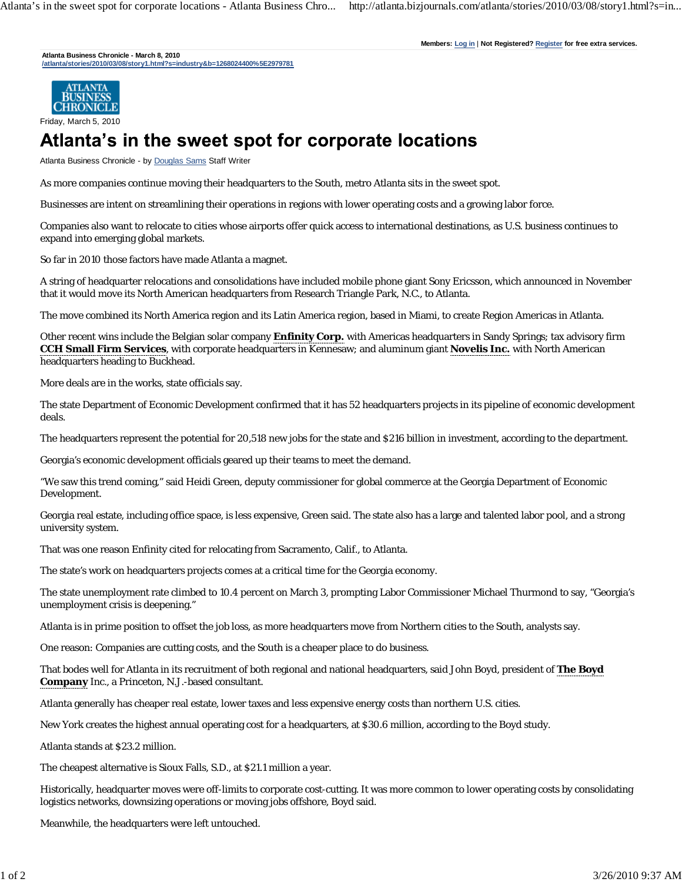**Atlanta Business Chronicle - March 8, 2010 /atlanta/stories/2010/03/08/story1.html?s=industry&b=1268024400%5E2979781**



Friday, March 5, 2010

## Atlanta's in the sweet spot for corporate locations

Atlanta Business Chronicle - by Douglas Sams Staff Writer

As more companies continue moving their headquarters to the South, metro Atlanta sits in the sweet spot.

Businesses are intent on streamlining their operations in regions with lower operating costs and a growing labor force.

Companies also want to relocate to cities whose airports offer quick access to international destinations, as U.S. business continues to expand into emerging global markets.

So far in 2010 those factors have made Atlanta a magnet.

A string of headquarter relocations and consolidations have included mobile phone giant Sony Ericsson, which announced in November that it would move its North American headquarters from Research Triangle Park, N.C., to Atlanta.

The move combined its North America region and its Latin America region, based in Miami, to create Region Americas in Atlanta.

Other recent wins include the Belgian solar company **Enfinity Corp.** with Americas headquarters in Sandy Springs; tax advisory firm **CCH Small Firm Services**, with corporate headquarters in Kennesaw; and aluminum giant **Novelis Inc.** with North American headquarters heading to Buckhead.

More deals are in the works, state officials say.

The state Department of Economic Development confirmed that it has 52 headquarters projects in its pipeline of economic development deals.

The headquarters represent the potential for 20,518 new jobs for the state and \$216 billion in investment, according to the department.

Georgia's economic development officials geared up their teams to meet the demand.

"We saw this trend coming," said Heidi Green, deputy commissioner for global commerce at the Georgia Department of Economic Development.

Georgia real estate, including office space, is less expensive, Green said. The state also has a large and talented labor pool, and a strong university system.

That was one reason Enfinity cited for relocating from Sacramento, Calif., to Atlanta.

The state's work on headquarters projects comes at a critical time for the Georgia economy.

The state unemployment rate climbed to 10.4 percent on March 3, prompting Labor Commissioner Michael Thurmond to say, "Georgia's unemployment crisis is deepening."

Atlanta is in prime position to offset the job loss, as more headquarters move from Northern cities to the South, analysts say.

One reason: Companies are cutting costs, and the South is a cheaper place to do business.

That bodes well for Atlanta in its recruitment of both regional and national headquarters, said John Boyd, president of **The Boyd Company** Inc., a Princeton, N.J.-based consultant.

Atlanta generally has cheaper real estate, lower taxes and less expensive energy costs than northern U.S. cities.

New York creates the highest annual operating cost for a headquarters, at \$30.6 million, according to the Boyd study.

Atlanta stands at \$23.2 million.

The cheapest alternative is Sioux Falls, S.D., at \$21.1 million a year.

Historically, headquarter moves were off-limits to corporate cost-cutting. It was more common to lower operating costs by consolidating logistics networks, downsizing operations or moving jobs offshore, Boyd said.

Meanwhile, the headquarters were left untouched.